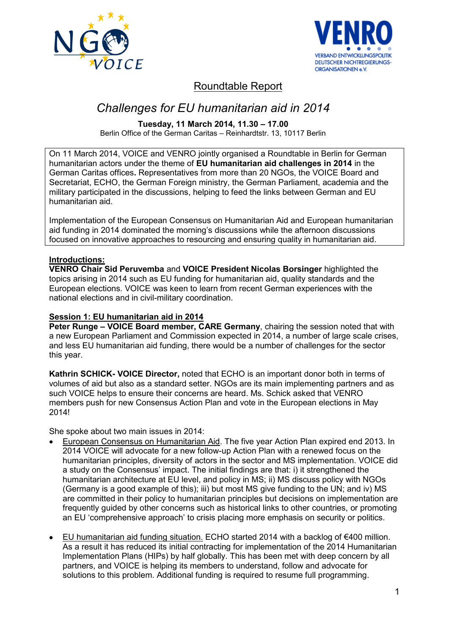



# Roundtable Report

# *Challenges for EU humanitarian aid in 2014*

**Tuesday, 11 March 2014, 11.30 – 17.00**

Berlin Office of the German Caritas – Reinhardtstr. 13, 10117 Berlin

On 11 March 2014, VOICE and VENRO jointly organised a Roundtable in Berlin for German humanitarian actors under the theme of **EU humanitarian aid challenges in 2014** in the German Caritas offices**.** Representatives from more than 20 NGOs, the VOICE Board and Secretariat, ECHO, the German Foreign ministry, the German Parliament, academia and the military participated in the discussions, helping to feed the links between German and EU humanitarian aid.

Implementation of the European Consensus on Humanitarian Aid and European humanitarian aid funding in 2014 dominated the morning's discussions while the afternoon discussions focused on innovative approaches to resourcing and ensuring quality in humanitarian aid.

# **Introductions:**

**VENRO Chair Sid Peruvemba** and **VOICE President Nicolas Borsinger** highlighted the topics arising in 2014 such as EU funding for humanitarian aid, quality standards and the European elections. VOICE was keen to learn from recent German experiences with the national elections and in civil-military coordination.

# **Session 1: EU humanitarian aid in 2014**

**Peter Runge – VOICE Board member, CARE Germany, chairing the session noted that with** a new European Parliament and Commission expected in 2014, a number of large scale crises, and less EU humanitarian aid funding, there would be a number of challenges for the sector this year.

**Kathrin SCHICK- VOICE Director,** noted that ECHO is an important donor both in terms of volumes of aid but also as a standard setter. NGOs are its main implementing partners and as such VOICE helps to ensure their concerns are heard. Ms. Schick asked that VENRO members push for new Consensus Action Plan and vote in the European elections in May 2014!

She spoke about two main issues in 2014:

- European Consensus on Humanitarian Aid. The five year Action Plan expired end 2013. In 2014 VOICE will advocate for a new follow-up Action Plan with a renewed focus on the humanitarian principles, diversity of actors in the sector and MS implementation. VOICE did a study on the Consensus' impact. The initial findings are that: i) it strengthened the humanitarian architecture at EU level, and policy in MS; ii) MS discuss policy with NGOs (Germany is a good example of this); iii) but most MS give funding to the UN; and iv) MS are committed in their policy to humanitarian principles but decisions on implementation are frequently guided by other concerns such as historical links to other countries, or promoting an EU 'comprehensive approach' to crisis placing more emphasis on security or politics.
- EU humanitarian aid funding situation. ECHO started 2014 with a backlog of €400 million.  $\bullet$ As a result it has reduced its initial contracting for implementation of the 2014 Humanitarian Implementation Plans (HIPs) by half globally. This has been met with deep concern by all partners, and VOICE is helping its members to understand, follow and advocate for solutions to this problem. Additional funding is required to resume full programming.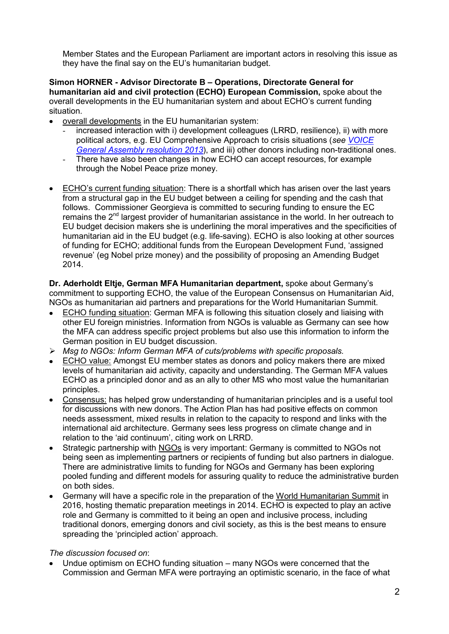Member States and the European Parliament are important actors in resolving this issue as they have the final say on the EU's humanitarian budget.

**Simon HORNER - Advisor Directorate B – Operations, Directorate General for humanitarian aid and civil protection (ECHO) European Commission,** spoke about the overall developments in the EU humanitarian system and about ECHO's current funding situation.

- overall developments in the EU humanitarian system:
	- increased interaction with i) development colleagues (LRRD, resilience), ii) with more political actors, e.g. EU Comprehensive Approach to crisis situations (*see [VOICE](http://www.ngovoice.org/documents/VOICE%20RESOLUTION%20ON%20EU%20COMPREHENSIVE%20APPROACH.pdf)  [General Assembly resolution 2013](http://www.ngovoice.org/documents/VOICE%20RESOLUTION%20ON%20EU%20COMPREHENSIVE%20APPROACH.pdf)*), and iii) other donors including non-traditional ones.
	- There have also been changes in how ECHO can accept resources, for example through the Nobel Peace prize money.
- ECHO's current funding situation: There is a shortfall which has arisen over the last years from a structural gap in the EU budget between a ceiling for spending and the cash that follows. Commissioner Georgieva is committed to securing funding to ensure the EC remains the 2<sup>nd</sup> largest provider of humanitarian assistance in the world. In her outreach to EU budget decision makers she is underlining the moral imperatives and the specificities of humanitarian aid in the EU budget (e.g. life-saving). ECHO is also looking at other sources of funding for ECHO; additional funds from the European Development Fund, 'assigned revenue' (eg Nobel prize money) and the possibility of proposing an Amending Budget 2014.

**Dr. Aderholdt Eltje, German MFA Humanitarian department,** spoke about Germany's commitment to supporting ECHO, the value of the European Consensus on Humanitarian Aid, NGOs as humanitarian aid partners and preparations for the World Humanitarian Summit.

- ECHO funding situation: German MFA is following this situation closely and liaising with other EU foreign ministries. Information from NGOs is valuable as Germany can see how the MFA can address specific project problems but also use this information to inform the German position in EU budget discussion.
- *Msg to NGOs: Inform German MFA of cuts/problems with specific proposals.*
- ECHO value: Amongst EU member states as donors and policy makers there are mixed levels of humanitarian aid activity, capacity and understanding. The German MFA values ECHO as a principled donor and as an ally to other MS who most value the humanitarian principles.
- Consensus: has helped grow understanding of humanitarian principles and is a useful tool for discussions with new donors. The Action Plan has had positive effects on common needs assessment, mixed results in relation to the capacity to respond and links with the international aid architecture. Germany sees less progress on climate change and in relation to the 'aid continuum', citing work on LRRD.
- Strategic partnership with NGOs is very important: Germany is committed to NGOs not being seen as implementing partners or recipients of funding but also partners in dialogue. There are administrative limits to funding for NGOs and Germany has been exploring pooled funding and different models for assuring quality to reduce the administrative burden on both sides.
- Germany will have a specific role in the preparation of the World Humanitarian Summit in 2016, hosting thematic preparation meetings in 2014. ECHO is expected to play an active role and Germany is committed to it being an open and inclusive process, including traditional donors, emerging donors and civil society, as this is the best means to ensure spreading the 'principled action' approach.

#### *The discussion focused on*:

Undue optimism on ECHO funding situation – many NGOs were concerned that the Commission and German MFA were portraying an optimistic scenario, in the face of what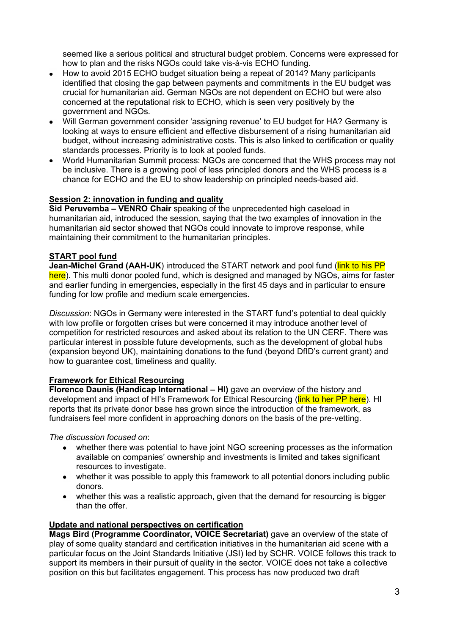seemed like a serious political and structural budget problem. Concerns were expressed for how to plan and the risks NGOs could take vis-à-vis ECHO funding.

- How to avoid 2015 ECHO budget situation being a repeat of 2014? Many participants identified that closing the gap between payments and commitments in the EU budget was crucial for humanitarian aid. German NGOs are not dependent on ECHO but were also concerned at the reputational risk to ECHO, which is seen very positively by the government and NGOs.
- Will German government consider 'assigning revenue' to EU budget for HA? Germany is  $\bullet$ looking at ways to ensure efficient and effective disbursement of a rising humanitarian aid budget, without increasing administrative costs. This is also linked to certification or quality standards processes. Priority is to look at pooled funds.
- World Humanitarian Summit process: NGOs are concerned that the WHS process may not be inclusive. There is a growing pool of less principled donors and the WHS process is a chance for ECHO and the EU to show leadership on principled needs-based aid.

# **Session 2: innovation in funding and quality**

**Sid Peruvemba – VENRO Chair** speaking of the unprecedented high caseload in humanitarian aid, introduced the session, saying that the two examples of innovation in the humanitarian aid sector showed that NGOs could innovate to improve response, while maintaining their commitment to the humanitarian principles.

# **START pool fund**

**Jean-Michel Grand (AAH-UK)** introduced the START network and pool fund (link to his PP here). This multi donor pooled fund, which is designed and managed by NGOs, aims for faster and earlier funding in emergencies, especially in the first 45 days and in particular to ensure funding for low profile and medium scale emergencies.

*Discussion*: NGOs in Germany were interested in the START fund's potential to deal quickly with low profile or forgotten crises but were concerned it may introduce another level of competition for restricted resources and asked about its relation to the UN CERF. There was particular interest in possible future developments, such as the development of global hubs (expansion beyond UK), maintaining donations to the fund (beyond DfID's current grant) and how to guarantee cost, timeliness and quality.

#### **Framework for Ethical Resourcing**

**Florence Daunis (Handicap International – HI)** gave an overview of the history and development and impact of HI's Framework for Ethical Resourcing (link to her PP here). HI reports that its private donor base has grown since the introduction of the framework, as fundraisers feel more confident in approaching donors on the basis of the pre-vetting.

*The discussion focused on*:

- whether there was potential to have joint NGO screening processes as the information available on companies' ownership and investments is limited and takes significant resources to investigate.
- whether it was possible to apply this framework to all potential donors including public donors.
- whether this was a realistic approach, given that the demand for resourcing is bigger than the offer.

#### **Update and national perspectives on certification**

**Mags Bird (Programme Coordinator, VOICE Secretariat)** gave an overview of the state of play of some quality standard and certification initiatives in the humanitarian aid scene with a particular focus on the Joint Standards Initiative (JSI) led by SCHR. VOICE follows this track to support its members in their pursuit of quality in the sector. VOICE does not take a collective position on this but facilitates engagement. This process has now produced two draft